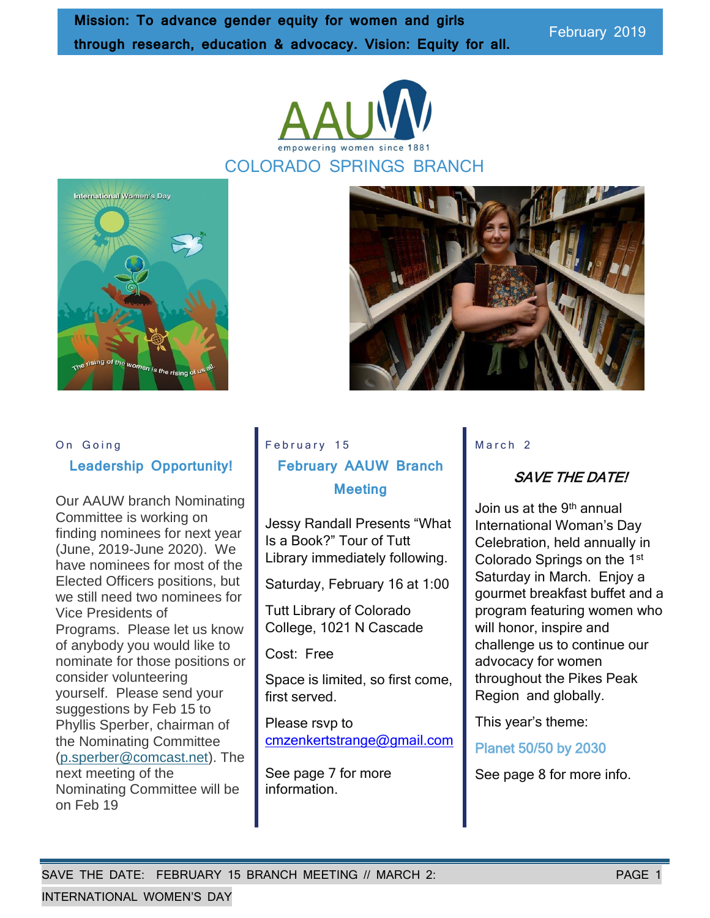empowering women since

February 2019





#### On Going

#### **Leadership Opportunity!**

Our AAUW branch Nominating Committee is working on finding nominees for next year (June, 2019-June 2020). We have nominees for most of the Elected Officers positions, but we still need two nominees for Vice Presidents of Programs. Please let us know of anybody you would like to nominate for those positions or consider volunteering yourself. Please send your suggestions by Feb 15 to Phyllis Sperber, chairman of the Nominating Committee [\(p.sperber@comcast.net\)](mailto:p.sperber@comcast.net). The next meeting of the Nominating Committee will be on Feb 19

# February 15 **February AAUW Branch Meeting**

Jessy Randall Presents "What Is a Book?" Tour of Tutt Library immediately following.

Saturday, February 16 at 1:00

Tutt Library of Colorado College, 1021 N Cascade

Cost: Free

Space is limited, so first come, first served.

Please rsvp to [cmzenkertstrange@gmail.com](mailto:cmzenkertstrange@gmail.com)

See page 7 for more information.

#### $M$  a r c h  $2$

### SAVE THE DATE!

Join us at the 9<sup>th</sup> annual International Woman's Day Celebration, held annually in Colorado Springs on the 1<sup>st</sup> Saturday in March. Enjoy a gourmet breakfast buffet and a program featuring women who will honor, inspire and challenge us to continue our advocacy for women throughout the Pikes Peak Region and globally.

This year's theme:

Planet 50/50 by 2030

See page 8 for more info.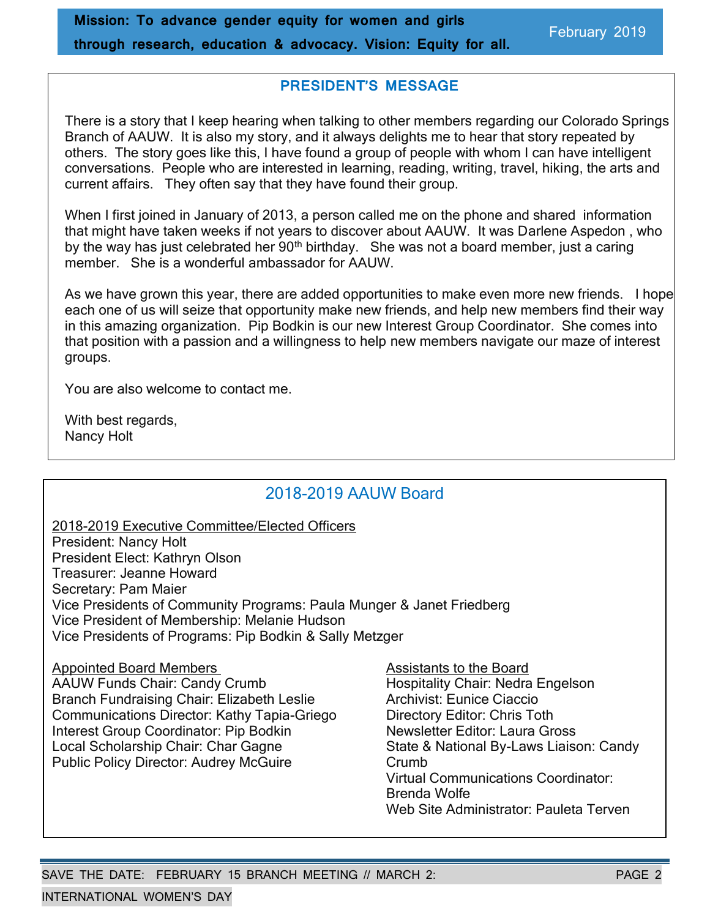#### **PRESIDENT'S MESSAGE**

There is a story that I keep hearing when talking to other members regarding our Colorado Springs Branch of AAUW. It is also my story, and it always delights me to hear that story repeated by others. The story goes like this, I have found a group of people with whom I can have intelligent conversations. People who are interested in learning, reading, writing, travel, hiking, the arts and current affairs. They often say that they have found their group.

When I first joined in January of 2013, a person called me on the phone and shared information that might have taken weeks if not years to discover about AAUW. It was Darlene Aspedon , who by the way has just celebrated her 90<sup>th</sup> birthday. She was not a board member, just a caring member. She is a wonderful ambassador for AAUW.

As we have grown this year, there are added opportunities to make even more new friends. I hope each one of us will seize that opportunity make new friends, and help new members find their way in this amazing organization. Pip Bodkin is our new Interest Group Coordinator. She comes into that position with a passion and a willingness to help new members navigate our maze of interest groups.

You are also welcome to contact me.

With best regards, Nancy Holt

# 2018-2019 AAUW Board

2018-2019 Executive Committee/Elected Officers President: Nancy Holt President Elect: Kathryn Olson Treasurer: Jeanne Howard Secretary: Pam Maier Vice Presidents of Community Programs: Paula Munger & Janet Friedberg Vice President of Membership: Melanie Hudson Vice Presidents of Programs: Pip Bodkin & Sally Metzger

Appointed Board Members Assistants to the Board AAUW Funds Chair: Candy Crumb Hospitality Chair: Nedra Engelson Branch Fundraising Chair: Elizabeth Leslie **Archivist: Eunice Ciaccio**<br>Communications Director: Kathy Tapia-Griego **Britter Directory Editor: Chris Toth** Communications Director: Kathy Tapia-Griego Interest Group Coordinator: Pip Bodkin Newsletter Editor: Laura Gross Local Scholarship Chair: Char Gagne State & National By-Laws Liaison: Candy Public Policy Director: Audrey McGuire Crumb

Virtual Communications Coordinator: Brenda Wolfe Web Site Administrator: Pauleta Terven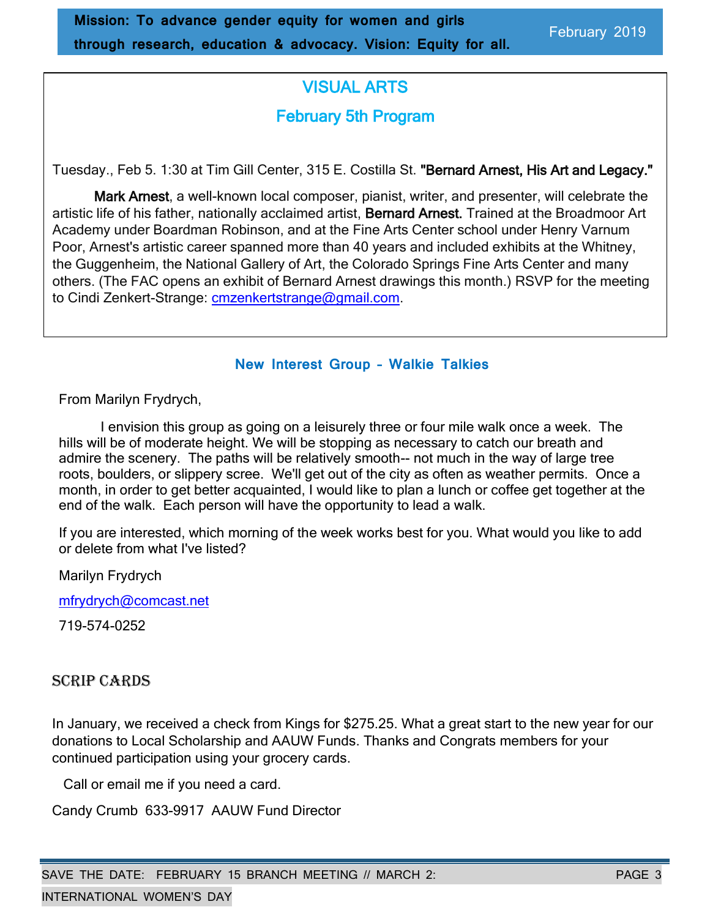# VISUAL ARTS February 5th Program

Tuesday., Feb 5. 1:30 at Tim Gill Center, 315 E. Costilla St. "Bernard Arnest, His Art and Legacy."

Mark Arnest, a well-known local composer, pianist, writer, and presenter, will celebrate the artistic life of his father, nationally acclaimed artist, Bernard Arnest. Trained at the Broadmoor Art Academy under Boardman Robinson, and at the Fine Arts Center school under Henry Varnum Poor, Arnest's artistic career spanned more than 40 years and included exhibits at the Whitney, the Guggenheim, the National Gallery of Art, the Colorado Springs Fine Arts Center and many others. (The FAC opens an exhibit of Bernard Arnest drawings this month.) RSVP for the meeting to Cindi Zenkert-Strange: [cmzenkertstrange@gmail.com.](mailto:cmzenkertstrange@gmail.com)

### < **New Interest Group – Walkie Talkies**

From Marilyn Frydrych,

I envision this group as going on a leisurely three or four mile walk once a week. The hills will be of moderate height. We will be stopping as necessary to catch our breath and admire the scenery. The paths will be relatively smooth-- not much in the way of large tree roots, boulders, or slippery scree. We'll get out of the city as often as weather permits. Once a month, in order to get better acquainted, I would like to plan a lunch or coffee get together at the end of the walk. Each person will have the opportunity to lead a walk.

If you are interested, which morning of the week works best for you. What would you like to add or delete from what I've listed?

Marilyn Frydrych

[mfrydrych@comcast.net](mailto:mfrydrych@comcast.net)

719-574-0252

# SCRIP CARDS

In January, we received a check from Kings for \$275.25. What a great start to the new year for our donations to Local Scholarship and AAUW Funds. Thanks and Congrats members for your continued participation using your grocery cards.

Call or email me if you need a card.

Candy Crumb 633-9917 AAUW Fund Director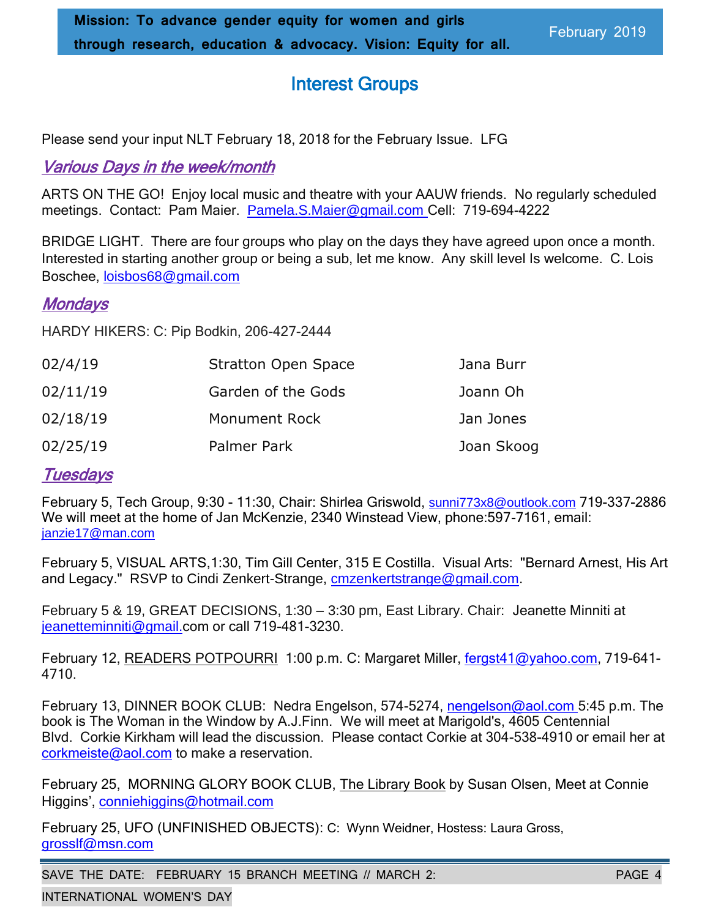# Interest Groups

Please send your input NLT February 18, 2018 for the February Issue. LFG

# Various Days in the week/month

ARTS ON THE GO! Enjoy local music and theatre with your AAUW friends. No regularly scheduled meetings. Contact: Pam Maier. [Pamela.S.Maier@gmail.com](mailto:Pamela.S.Maier@gmail.com) Cell: 719-694-4222

BRIDGE LIGHT. There are four groups who play on the days they have agreed upon once a month. Interested in starting another group or being a sub, let me know. Any skill level Is welcome. C. Lois Boschee, loisbos68@gmail.com

# **Mondays**

HARDY HIKERS: C: Pip Bodkin, 206-427-2444

| 02/4/19  | Stratton Open Space  | Jana Burr  |
|----------|----------------------|------------|
| 02/11/19 | Garden of the Gods   | Joann Oh   |
| 02/18/19 | <b>Monument Rock</b> | Jan Jones  |
| 02/25/19 | Palmer Park          | Joan Skoog |

# **Tuesdays**

February 5, Tech Group, 9:30 - 11:30, Chair: Shirlea Griswold, sunni773x8@outlook.com 719-337-2886 We will meet at the home of Jan McKenzie, 2340 Winstead View, phone:597-7161, email: [janzie17@man.com](mailto:janzie17@man.com)

February 5, VISUAL ARTS,1:30, Tim Gill Center, 315 E Costilla. Visual Arts: "Bernard Arnest, His Art and Legacy." RSVP to Cindi Zenkert-Strange, [cmzenkertstrange@gmail.com.](mailto:cmzenkertstrange@gmail.com)

February 5 & 19, GREAT DECISIONS, 1:30 – 3:30 pm, East Library. Chair: Jeanette Minniti at jeanetteminniti@gmail.com or call 719-481-3230.

February 12, READERS POTPOURRI 1:00 p.m. C: Margaret Miller, [fergst41@yahoo.com,](mailto:fergst41@yahoo.com) 719-641-4710.

February 13, DINNER BOOK CLUB: Nedra Engelson, 574-5274, [nengelson@aol.com](mailto:nengelson@aol.com) 5:45 p.m. The book is The Woman in the Window by A.J.Finn. We will meet at Marigold's, 4605 Centennial Blvd. Corkie Kirkham will lead the discussion. Please contact Corkie at 304-538-4910 or email her at corkmeiste@aol.com to make a reservation.

February 25, MORNING GLORY BOOK CLUB, The Library Book by Susan Olsen, Meet at Connie Higgins', conniehiggins@hotmail.com

February 25, UFO (UNFINISHED OBJECTS): C: Wynn Weidner, Hostess: Laura Gross, grosslf@msn.com

SAVE THE DATE: FEBRUARY 15 BRANCH MEETING // MARCH 2: PAGE 4

INTERNATIONAL WOMEN'S DAY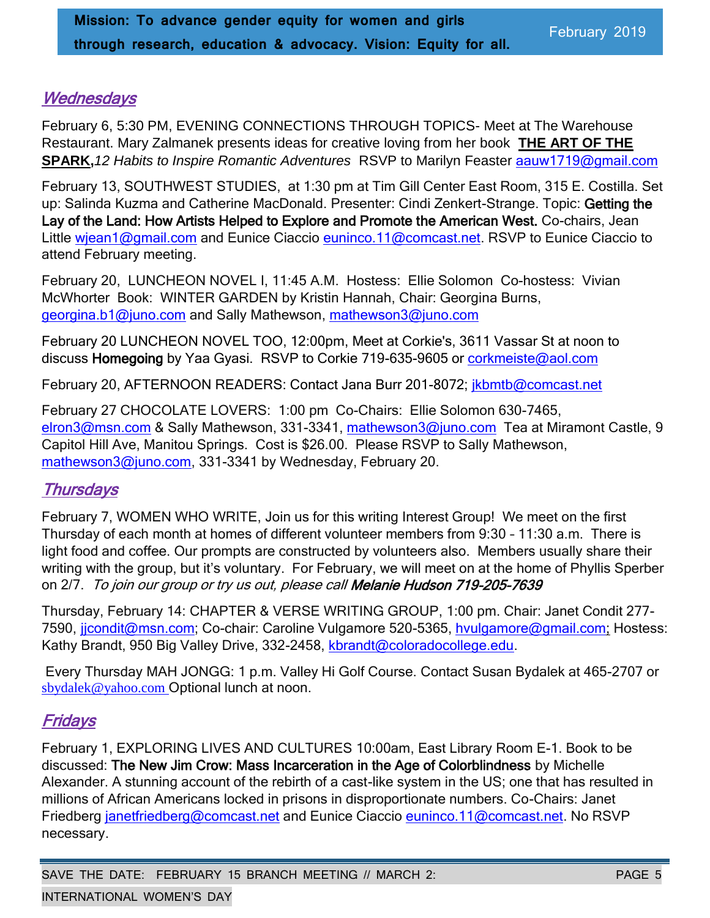# **Wednesdays**

February 6, 5:30 PM, EVENING CONNECTIONS THROUGH TOPICS- Meet at The Warehouse Restaurant. Mary Zalmanek presents ideas for creative loving from her book **THE ART OF THE SPARK,***12 Habits to Inspire Romantic Adventures* RSVP to Marilyn Feaster aauw1719@gmail.com

February 13, SOUTHWEST STUDIES, at 1:30 pm at Tim Gill Center East Room, 315 E. Costilla. Set up: Salinda Kuzma and Catherine MacDonald. Presenter: Cindi Zenkert-Strange. Topic: Getting the Lay of the Land: How Artists Helped to Explore and Promote the American West. Co-chairs, Jean Little [wjean1@gmail.com](mailto:wjean1@gmail.com) and Eunice Ciaccio [euninco.11@comcast.net.](mailto:euninco.11@comcast.net) RSVP to Eunice Ciaccio to attend February meeting.

February 20, LUNCHEON NOVEL I, 11:45 A.M. Hostess: Ellie Solomon Co-hostess: Vivian McWhorter Book: WINTER GARDEN by Kristin Hannah, Chair: Georgina Burns, [georgina.b1@juno.com](file:///C:/Users/grosslf/Documents/AAUW/Newsletter/Nov%202018/georgina.b1@juno.com) and Sally Mathewson, [mathewson3@juno.com](mailto:mathewson3@juno.com)

February 20 LUNCHEON NOVEL TOO, 12:00pm, Meet at Corkie's, 3611 Vassar St at noon to discuss Homegoing by Yaa Gyasi. RSVP to Corkie 719-635-9605 or corkmeiste@aol.com

February 20, AFTERNOON READERS: Contact Jana Burr 201-8072; jkbmtb@comcast.net

February 27 CHOCOLATE LOVERS: 1:00 pm Co-Chairs: Ellie Solomon 630-7465, [elron3@msn.com](mailto:elron3@msn.com) & Sally Mathewson, 331-3341, [mathewson3@juno.com](mailto:mathewson3@juno.com) Tea at Miramont Castle, 9 Capitol Hill Ave, Manitou Springs. Cost is \$26.00. Please RSVP to Sally Mathewson, [mathewson3@juno.com,](mailto:mathewson3@juno.com) 331-3341 by Wednesday, February 20.

# **Thursdays**

February 7, WOMEN WHO WRITE, Join us for this writing Interest Group! We meet on the first Thursday of each month at homes of different volunteer members from 9:30 – 11:30 a.m. There is light food and coffee. Our prompts are constructed by volunteers also. Members usually share their writing with the group, but it's voluntary. For February, we will meet on at the home of Phyllis Sperber on 2/7. To join our group or try us out, please call Melanie Hudson 719-205-7639

Thursday, February 14: CHAPTER & VERSE WRITING GROUP, 1:00 pm. Chair: Janet Condit 277- 7590, jicondit@msn.com; Co-chair: Caroline Vulgamore 520-5365, hvulgamore@gmail.com; Hostess: Kathy Brandt, 950 Big Valley Drive, 332-2458, [kbrandt@coloradocollege.edu.](mailto:kbrandt@coloradocollege.edu)

Every Thursday MAH JONGG: 1 p.m. Valley Hi Golf Course. Contact Susan Bydalek at 465-2707 or [sbydalek@yahoo.com](mailto:sbydalek@yahoo.com) Optional lunch at noon.

# **Fridays**

February 1, EXPLORING LIVES AND CULTURES 10:00am, East Library Room E-1. Book to be discussed: The New Jim Crow: Mass Incarceration in the Age of Colorblindness by Michelle Alexander. A stunning account of the rebirth of a cast-like system in the US; one that has resulted in millions of African Americans locked in prisons in disproportionate numbers. Co-Chairs: Janet Friedberg [janetfriedberg@comcast.net](mailto:janetfriedberg@comcast.net) and Eunice Ciaccio [euninco.11@comcast.net.](mailto:euninco.11@comcast.net) No RSVP necessary.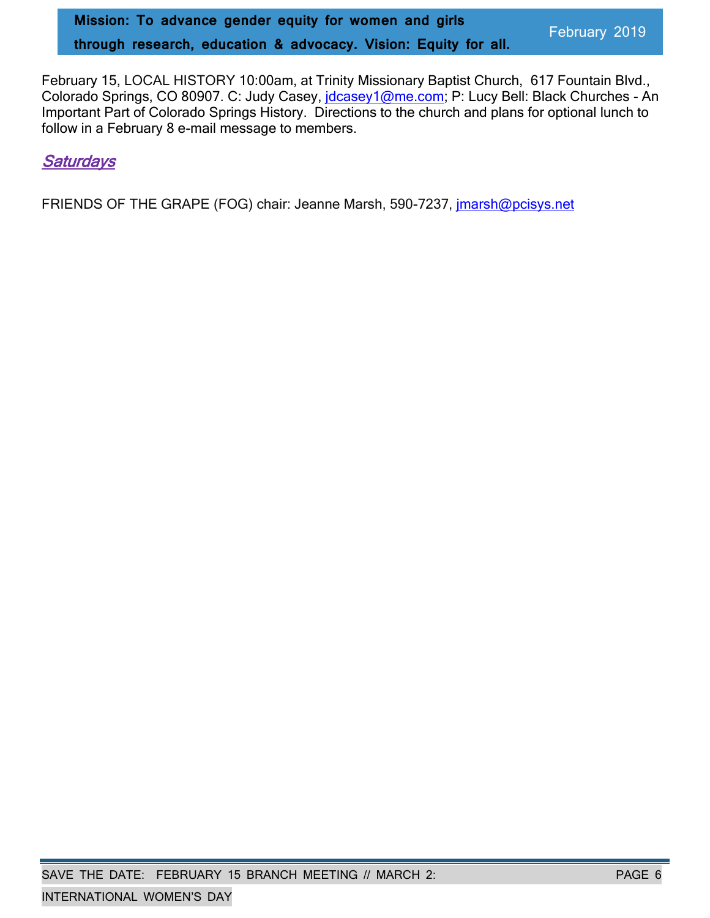February 15, LOCAL HISTORY 10:00am, at Trinity Missionary Baptist Church, 617 Fountain Blvd., Colorado Springs, CO 80907. C: Judy Casey, [jdcasey1@me.com;](mailto:jdcasey1@me.com) P: Lucy Bell: Black Churches - An Important Part of Colorado Springs History. Directions to the church and plans for optional lunch to follow in a February 8 e-mail message to members.

# **Saturdays**

FRIENDS OF THE GRAPE (FOG) chair: Jeanne Marsh, 590-7237, [jmarsh@pcisys.net](mailto:jmarsh@pcisys.net)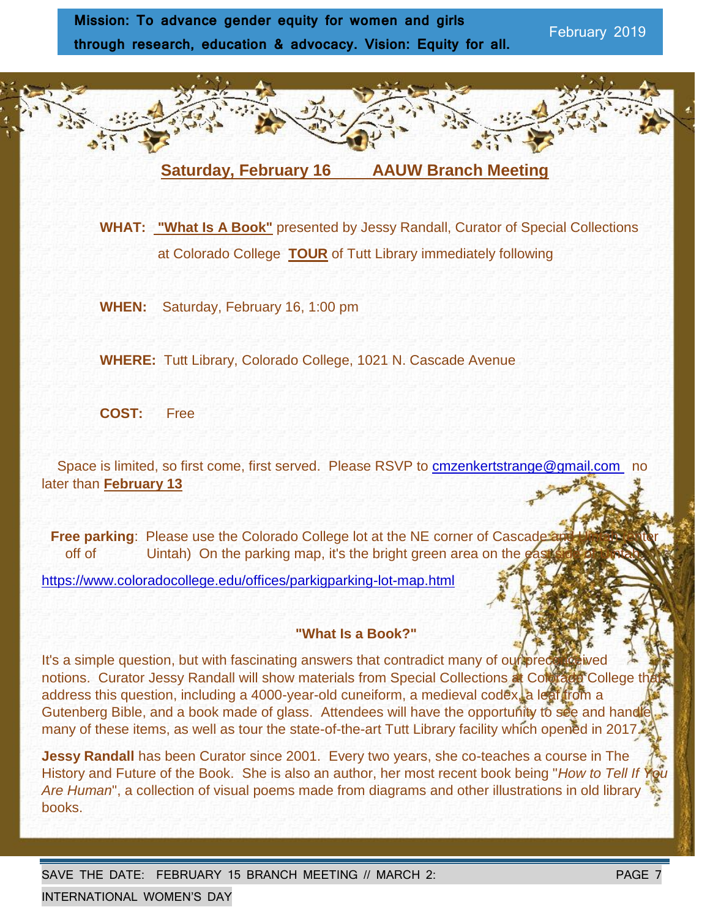

 **WHAT: "What Is A Book"** presented by Jessy Randall, Curator of Special Collections at Colorado College **TOUR** of Tutt Library immediately following

**WHEN:** Saturday, February 16, 1:00 pm

**WHERE:** Tutt Library, Colorado College, 1021 N. Cascade Avenue

**COST:** Free

Space is limited, so first come, first served. Please RSVP to cmzenkertstrange@gmail.com no later than **February 13**

**Free parking: Please use the Colorado College lot at the NE corner of Cascade:** off of Uintah) On the parking map, it's the bright green area on the

https://www.coloradocollege.edu/offices/parkigparking-lot-map.html

#### **"What Is a Book?"**

It's a simple question, but with fascinating answers that contradict many of our preconceived notions. Curator Jessy Randall will show materials from Special Collections at Colorado College th address this question, including a 4000-year-old cuneiform, a medieval codex, a leaf from a Gutenberg Bible, and a book made of glass. Attendees will have the opportunity to see and handle many of these items, as well as tour the state-of-the-art Tutt Library facility which opened in 2017.

**Jessy Randall** has been Curator since 2001. Every two years, she co-teaches a course in The History and Future of the Book. She is also an author, her most recent book being "*How to Tell If You Are Human*", a collection of visual poems made from diagrams and other illustrations in old library books.